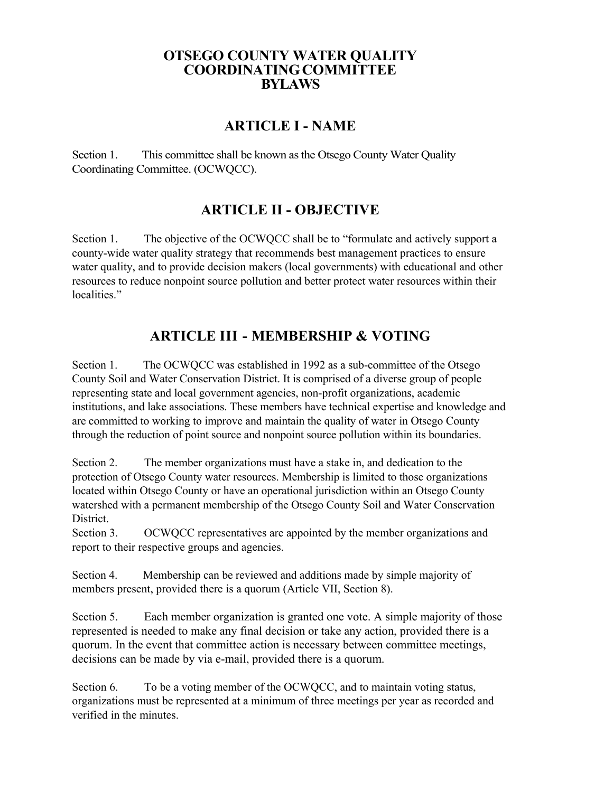#### **OTSEGO COUNTY WATER QUALITY COORDINATINGCOMMITTEE BYLAWS**

### **ARTICLE I - NAME**

Section 1. This committee shall be known as the Otsego County Water Quality Coordinating Committee. (OCWQCC).

## **ARTICLE II - OBJECTIVE**

Section 1. The objective of the OCWQCC shall be to "formulate and actively support a county-wide water quality strategy that recommends best management practices to ensure water quality, and to provide decision makers (local governments) with educational and other resources to reduce nonpoint source pollution and better protect water resources within their localities."

# **ARTICLE III - MEMBERSHIP & VOTING**

Section 1. The OCWQCC was established in 1992 as a sub-committee of the Otsego County Soil and Water Conservation District. It is comprised of a diverse group of people representing state and local government agencies, non-profit organizations, academic institutions, and lake associations. These members have technical expertise and knowledge and are committed to working to improve and maintain the quality of water in Otsego County through the reduction of point source and nonpoint source pollution within its boundaries.

Section 2. The member organizations must have a stake in, and dedication to the protection of Otsego County water resources. Membership is limited to those organizations located within Otsego County or have an operational jurisdiction within an Otsego County watershed with a permanent membership of the Otsego County Soil and Water Conservation District.

Section 3. OCWQCC representatives are appointed by the member organizations and report to their respective groups and agencies.

Section 4. Membership can be reviewed and additions made by simple majority of members present, provided there is a quorum (Article VII, Section 8).

Section 5. Each member organization is granted one vote. A simple majority of those represented is needed to make any final decision or take any action, provided there is a quorum. In the event that committee action is necessary between committee meetings, decisions can be made by via e-mail, provided there is a quorum.

Section 6. To be a voting member of the OCWQCC, and to maintain voting status, organizations must be represented at a minimum of three meetings per year as recorded and verified in the minutes.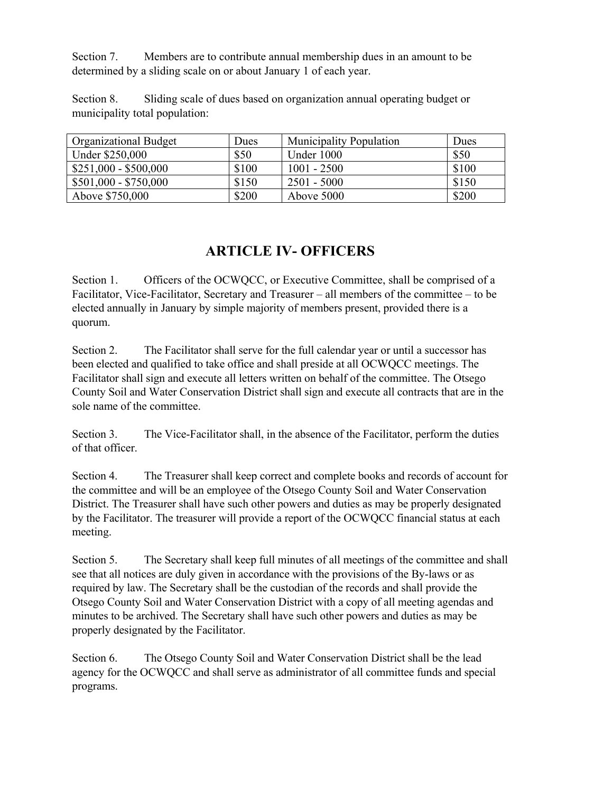Section 7. Members are to contribute annual membership dues in an amount to be determined by a sliding scale on or about January 1 of each year.

Section 8. Sliding scale of dues based on organization annual operating budget or municipality total population:

| <b>Organizational Budget</b> | Dues  | <b>Municipality Population</b> | Dues  |
|------------------------------|-------|--------------------------------|-------|
| Under \$250,000              | \$50  | Under 1000                     | \$50  |
| $$251,000 - $500,000$        | \$100 | $1001 - 2500$                  | \$100 |
| $$501,000 - $750,000$        | \$150 | $2501 - 5000$                  | \$150 |
| Above \$750,000              | \$200 | Above 5000                     | \$200 |

## **ARTICLE IV- OFFICERS**

Section 1. Officers of the OCWQCC, or Executive Committee, shall be comprised of a Facilitator, Vice-Facilitator, Secretary and Treasurer – all members of the committee – to be elected annually in January by simple majority of members present, provided there is a quorum.

Section 2. The Facilitator shall serve for the full calendar year or until a successor has been elected and qualified to take office and shall preside at all OCWQCC meetings. The Facilitator shall sign and execute all letters written on behalf of the committee. The Otsego County Soil and Water Conservation District shall sign and execute all contracts that are in the sole name of the committee.

Section 3. The Vice-Facilitator shall, in the absence of the Facilitator, perform the duties of that officer.

Section 4. The Treasurer shall keep correct and complete books and records of account for the committee and will be an employee of the Otsego County Soil and Water Conservation District. The Treasurer shall have such other powers and duties as may be properly designated by the Facilitator. The treasurer will provide a report of the OCWQCC financial status at each meeting.

Section 5. The Secretary shall keep full minutes of all meetings of the committee and shall see that all notices are duly given in accordance with the provisions of the By-laws or as required by law. The Secretary shall be the custodian of the records and shall provide the Otsego County Soil and Water Conservation District with a copy of all meeting agendas and minutes to be archived. The Secretary shall have such other powers and duties as may be properly designated by the Facilitator.

Section 6. The Otsego County Soil and Water Conservation District shall be the lead agency for the OCWQCC and shall serve as administrator of all committee funds and special programs.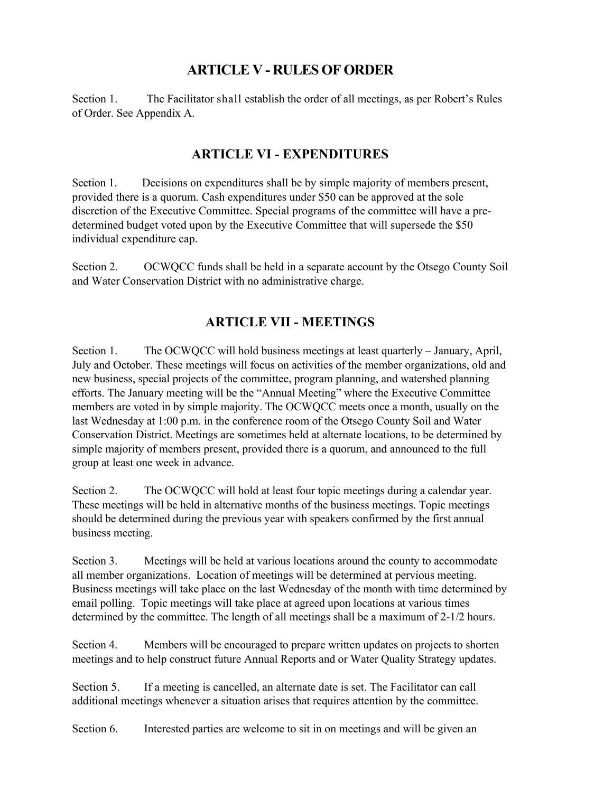# **ARTICLE V - RULES OF ORDER**

Section 1. The Facilitator shall establish the order of all meetings, as per Robert's Rules of Order. See Appendix A.

#### **ARTICLE VI - EXPENDITURES**

Section 1. Decisions on expenditures shall be by simple majority of members present, provided there is a quorum. Cash expenditures under \$50 can be approved at the sole discretion of the Executive Committee. Special programs of the committee will have a predetermined budget voted upon by the Executive Committee that will supersede the \$50 individual expenditure cap.

Section 2. OCWQCC funds shall be held in a separate account by the Otsego County Soil and Water Conservation District with no administrative charge.

#### **ARTICLE VII - MEETINGS**

Section 1. The OCWQCC will hold business meetings at least quarterly – January, April, July and October. These meetings will focus on activities of the member organizations, old and new business, special projects of the committee, program planning, and watershed planning efforts. The January meeting will be the "Annual Meeting" where the Executive Committee members are voted in by simple majority. The OCWQCC meets once a month, usually on the last Wednesday at 1:00 p.m. in the conference room of the Otsego County Soil and Water Conservation District. Meetings are sometimes held at alternate locations, to be determined by simple majority of members present, provided there is a quorum, and announced to the full group at least one week in advance.

Section 2. The OCWQCC will hold at least four topic meetings during a calendar year. These meetings will be held in alternative months of the business meetings. Topic meetings should be determined during the previous year with speakers confirmed by the first annual business meeting.

Section 3. Meetings will be held at various locations around the county to accommodate all member organizations. Location of meetings will be determined at pervious meeting. Business meetings will take place on the last Wednesday of the month with time determined by email polling. Topic meetings will take place at agreed upon locations at various times determined by the committee. The length of all meetings shall be a maximum of 2-1/2 hours.

Section 4. Members will be encouraged to prepare written updates on projects to shorten meetings and to help construct future Annual Reports and or Water Quality Strategy updates.

Section 5. If a meeting is cancelled, an alternate date is set. The Facilitator can call additional meetings whenever a situation arises that requires attention by the committee.

Section 6. Interested parties are welcome to sit in on meetings and will be given an